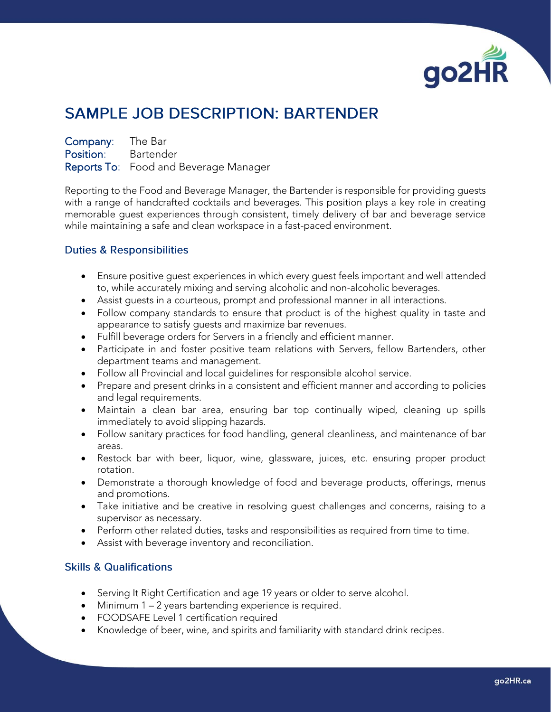

## **SAMPLE JOB DESCRIPTION: BARTENDER**

Company: The Bar Position: Bartender Reports To: Food and Beverage Manager

Reporting to the Food and Beverage Manager, the Bartender is responsible for providing guests with a range of handcrafted cocktails and beverages. This position plays a key role in creating memorable guest experiences through consistent, timely delivery of bar and beverage service while maintaining a safe and clean workspace in a fast-paced environment.

## **Duties & Responsibilities**

- Ensure positive guest experiences in which every guest feels important and well attended to, while accurately mixing and serving alcoholic and non-alcoholic beverages.
- Assist guests in a courteous, prompt and professional manner in all interactions.
- Follow company standards to ensure that product is of the highest quality in taste and appearance to satisfy guests and maximize bar revenues.
- Fulfill beverage orders for Servers in a friendly and efficient manner.
- Participate in and foster positive team relations with Servers, fellow Bartenders, other department teams and management.
- Follow all Provincial and local guidelines for responsible alcohol service.
- Prepare and present drinks in a consistent and efficient manner and according to policies and legal requirements.
- Maintain a clean bar area, ensuring bar top continually wiped, cleaning up spills immediately to avoid slipping hazards.
- Follow sanitary practices for food handling, general cleanliness, and maintenance of bar areas.
- Restock bar with beer, liquor, wine, glassware, juices, etc. ensuring proper product rotation.
- Demonstrate a thorough knowledge of food and beverage products, offerings, menus and promotions.
- Take initiative and be creative in resolving guest challenges and concerns, raising to a supervisor as necessary.
- Perform other related duties, tasks and responsibilities as required from time to time.
- Assist with beverage inventory and reconciliation.

## **Skills & Qualifications**

- Serving It Right Certification and age 19 years or older to serve alcohol.
- Minimum 1 2 years bartending experience is required.
- FOODSAFE Level 1 certification required
- Knowledge of beer, wine, and spirits and familiarity with standard drink recipes.